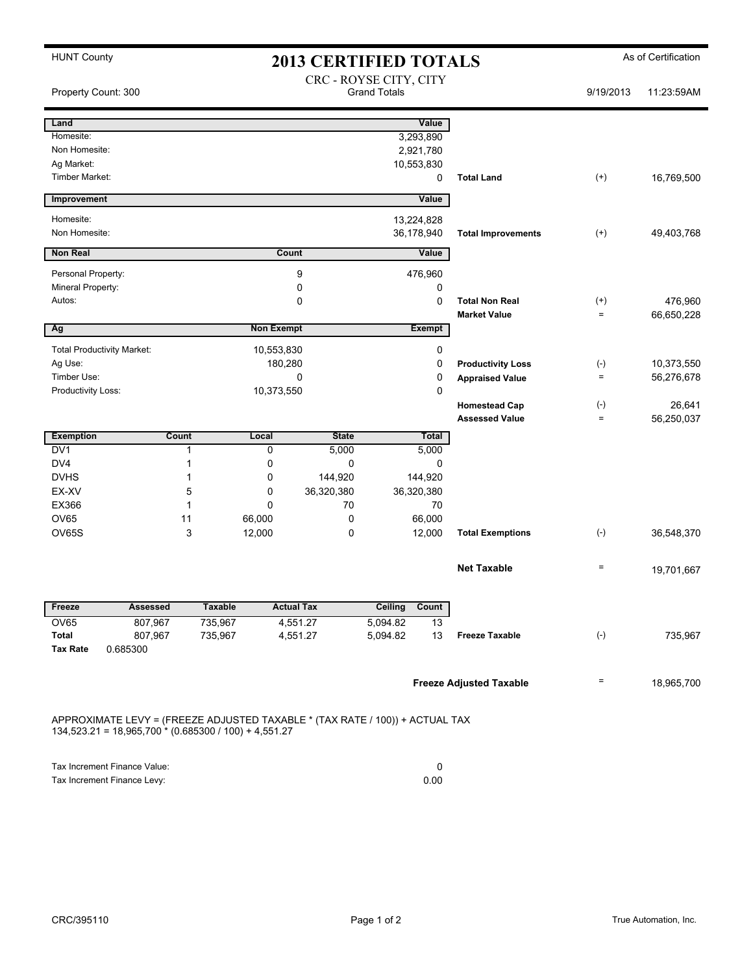| <b>HUNT County</b>                                                   |                                                                                                                                         | <b>2013 CERTIFIED TOTALS</b>    | As of Certification |                            |                                |                   |            |  |  |  |
|----------------------------------------------------------------------|-----------------------------------------------------------------------------------------------------------------------------------------|---------------------------------|---------------------|----------------------------|--------------------------------|-------------------|------------|--|--|--|
| CRC - ROYSE CITY, CITY<br><b>Grand Totals</b><br>Property Count: 300 |                                                                                                                                         |                                 |                     |                            |                                | 9/19/2013         | 11:23:59AM |  |  |  |
| Land                                                                 |                                                                                                                                         |                                 |                     | Value                      |                                |                   |            |  |  |  |
| Homesite:                                                            |                                                                                                                                         |                                 |                     | 3,293,890                  |                                |                   |            |  |  |  |
| Non Homesite:<br>Ag Market:                                          |                                                                                                                                         |                                 |                     | 2,921,780<br>10,553,830    |                                |                   |            |  |  |  |
| Timber Market:                                                       |                                                                                                                                         |                                 |                     | 0                          | <b>Total Land</b>              | $^{(+)}$          | 16,769,500 |  |  |  |
| Improvement                                                          |                                                                                                                                         |                                 |                     | Value                      |                                |                   |            |  |  |  |
| Homesite:                                                            |                                                                                                                                         |                                 |                     | 13,224,828                 |                                |                   |            |  |  |  |
| Non Homesite:                                                        |                                                                                                                                         |                                 |                     | 36,178,940                 | <b>Total Improvements</b>      | $^{(+)}$          | 49,403,768 |  |  |  |
| <b>Non Real</b>                                                      |                                                                                                                                         |                                 | Count<br>Value      |                            |                                |                   |            |  |  |  |
| Personal Property:                                                   |                                                                                                                                         | 9                               |                     | 476,960                    |                                |                   |            |  |  |  |
|                                                                      | Mineral Property:                                                                                                                       |                                 | 0                   |                            |                                |                   |            |  |  |  |
| Autos:                                                               |                                                                                                                                         |                                 | $\mathbf 0$         | 0<br><b>Total Non Real</b> |                                | $^{(+)}$          | 476,960    |  |  |  |
|                                                                      |                                                                                                                                         |                                 |                     |                            | <b>Market Value</b>            | $\equiv$          | 66,650,228 |  |  |  |
| Ag                                                                   |                                                                                                                                         | <b>Non Exempt</b>               |                     | Exempt                     |                                |                   |            |  |  |  |
| <b>Total Productivity Market:</b>                                    |                                                                                                                                         | 10,553,830                      |                     | 0                          |                                |                   |            |  |  |  |
| Ag Use:                                                              |                                                                                                                                         | 180,280                         |                     | 0                          | <b>Productivity Loss</b>       | $(-)$             | 10,373,550 |  |  |  |
| Timber Use:                                                          |                                                                                                                                         |                                 | $\mathbf 0$         | 0<br>0                     | <b>Appraised Value</b>         | $\quad \  \  =$   | 56,276,678 |  |  |  |
| Productivity Loss:<br>10,373,550                                     |                                                                                                                                         |                                 |                     | <b>Homestead Cap</b>       | $(\cdot)$                      | 26,641            |            |  |  |  |
|                                                                      |                                                                                                                                         |                                 |                     |                            | <b>Assessed Value</b>          | $\qquad \qquad =$ | 56,250,037 |  |  |  |
| <b>Exemption</b>                                                     | Count                                                                                                                                   | Local                           | <b>State</b>        | <b>Total</b>               |                                |                   |            |  |  |  |
| DV <sub>1</sub>                                                      | 1                                                                                                                                       | 0                               | 5,000               | 5,000                      |                                |                   |            |  |  |  |
| DV4                                                                  | 1                                                                                                                                       | 0                               | 0                   | 0                          |                                |                   |            |  |  |  |
| <b>DVHS</b>                                                          | 1                                                                                                                                       | 0                               | 144,920<br>144,920  |                            |                                |                   |            |  |  |  |
| EX-XV<br>EX366                                                       | $\mathbf{1}$                                                                                                                            | 5<br>0<br>36,320,380<br>0<br>70 |                     | 36,320,380<br>70           |                                |                   |            |  |  |  |
| <b>OV65</b>                                                          | 11                                                                                                                                      | 66.000<br>0                     |                     | 66,000                     |                                |                   |            |  |  |  |
| <b>OV65S</b>                                                         | 3                                                                                                                                       | 12,000                          | 0                   | 12,000                     | <b>Total Exemptions</b>        | $(-)$             | 36,548,370 |  |  |  |
|                                                                      |                                                                                                                                         |                                 |                     |                            |                                |                   |            |  |  |  |
|                                                                      |                                                                                                                                         |                                 |                     |                            | <b>Net Taxable</b>             | $\qquad \qquad =$ | 19,701,667 |  |  |  |
| Freeze                                                               | Assessed                                                                                                                                | <b>Taxable</b>                  | <b>Actual Tax</b>   | Ceiling<br>Count           |                                |                   |            |  |  |  |
| OV65                                                                 | 807,967                                                                                                                                 | 735,967                         | 4,551.27            | 5,094.82<br>13             |                                |                   |            |  |  |  |
| Total                                                                | 807,967                                                                                                                                 | 735,967                         | 4,551.27            | 13<br>5,094.82             | <b>Freeze Taxable</b>          | $(-)$             | 735,967    |  |  |  |
| <b>Tax Rate</b>                                                      | 0.685300                                                                                                                                |                                 |                     |                            |                                |                   |            |  |  |  |
|                                                                      |                                                                                                                                         |                                 |                     |                            | <b>Freeze Adjusted Taxable</b> | Ξ                 | 18,965,700 |  |  |  |
|                                                                      |                                                                                                                                         |                                 |                     |                            |                                |                   |            |  |  |  |
|                                                                      | APPROXIMATE LEVY = (FREEZE ADJUSTED TAXABLE * (TAX RATE / 100)) + ACTUAL TAX<br>$134,523.21 = 18,965,700 * (0.685300 / 100) + 4,551.27$ |                                 |                     |                            |                                |                   |            |  |  |  |
|                                                                      |                                                                                                                                         |                                 |                     |                            |                                |                   |            |  |  |  |
|                                                                      |                                                                                                                                         |                                 |                     |                            |                                |                   |            |  |  |  |

| Tax Increment Finance Value: |      |
|------------------------------|------|
| Tax Increment Finance Levy:  | 0.00 |